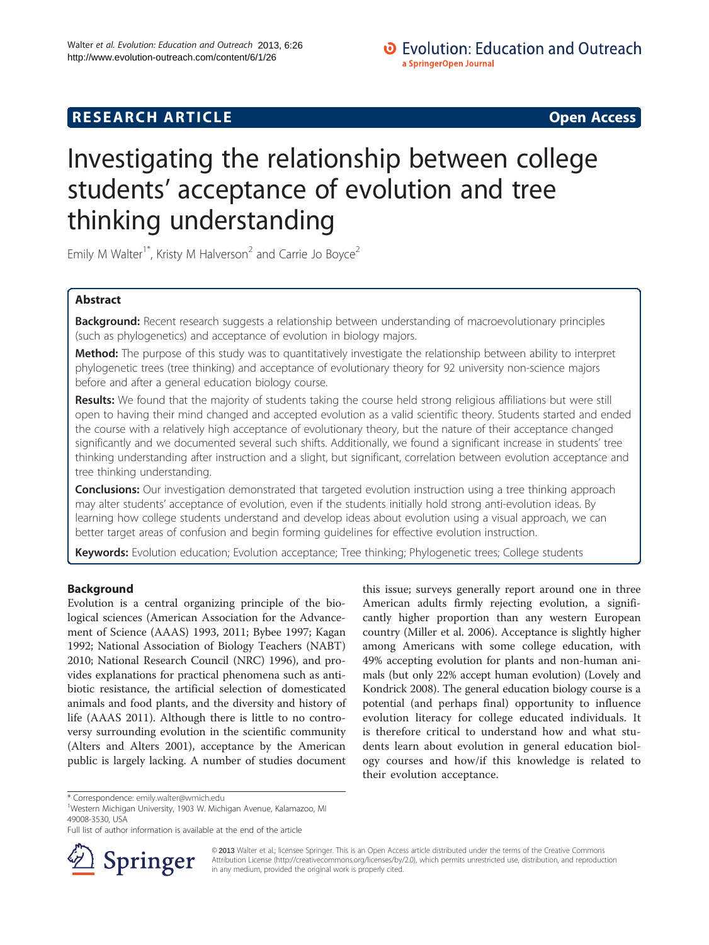# **RESEARCH ARTICLE Example 2014 12:30 The SEAR CHA RTICLE**

# Investigating the relationship between college students' acceptance of evolution and tree thinking understanding

Emily M Walter<sup>1\*</sup>, Kristy M Halverson<sup>2</sup> and Carrie Jo Boyce<sup>2</sup>

# Abstract

Background: Recent research suggests a relationship between understanding of macroevolutionary principles (such as phylogenetics) and acceptance of evolution in biology majors.

Method: The purpose of this study was to quantitatively investigate the relationship between ability to interpret phylogenetic trees (tree thinking) and acceptance of evolutionary theory for 92 university non-science majors before and after a general education biology course.

Results: We found that the majority of students taking the course held strong religious affiliations but were still open to having their mind changed and accepted evolution as a valid scientific theory. Students started and ended the course with a relatively high acceptance of evolutionary theory, but the nature of their acceptance changed significantly and we documented several such shifts. Additionally, we found a significant increase in students' tree thinking understanding after instruction and a slight, but significant, correlation between evolution acceptance and tree thinking understanding.

**Conclusions:** Our investigation demonstrated that targeted evolution instruction using a tree thinking approach may alter students' acceptance of evolution, even if the students initially hold strong anti-evolution ideas. By learning how college students understand and develop ideas about evolution using a visual approach, we can better target areas of confusion and begin forming guidelines for effective evolution instruction.

Keywords: Evolution education; Evolution acceptance; Tree thinking; Phylogenetic trees; College students

# Background

Evolution is a central organizing principle of the biological sciences (American Association for the Advancement of Science (AAAS) [1993, 2011;](#page-6-0) Bybee [1997;](#page-6-0) Kagan [1992](#page-6-0); National Association of Biology Teachers (NABT) [2010](#page-6-0); National Research Council (NRC) [1996\)](#page-6-0), and provides explanations for practical phenomena such as antibiotic resistance, the artificial selection of domesticated animals and food plants, and the diversity and history of life (AAAS [2011](#page-6-0)). Although there is little to no controversy surrounding evolution in the scientific community (Alters and Alters [2001](#page-6-0)), acceptance by the American public is largely lacking. A number of studies document

this issue; surveys generally report around one in three American adults firmly rejecting evolution, a significantly higher proportion than any western European country (Miller et al. [2006\)](#page-6-0). Acceptance is slightly higher among Americans with some college education, with 49% accepting evolution for plants and non-human animals (but only 22% accept human evolution) (Lovely and Kondrick [2008\)](#page-6-0). The general education biology course is a potential (and perhaps final) opportunity to influence evolution literacy for college educated individuals. It is therefore critical to understand how and what students learn about evolution in general education biology courses and how/if this knowledge is related to their evolution acceptance.

Full list of author information is available at the end of the article



© 2013 Walter et al.; licensee Springer. This is an Open Access article distributed under the terms of the Creative Commons Attribution License [\(http://creativecommons.org/licenses/by/2.0\)](http://creativecommons.org/licenses/by/2.0), which permits unrestricted use, distribution, and reproduction in any medium, provided the original work is properly cited.

<sup>\*</sup> Correspondence: [emily.walter@wmich.edu](mailto:emily.walter@wmich.edu) <sup>1</sup>

<sup>&</sup>lt;sup>1</sup>Western Michigan University, 1903 W. Michigan Avenue, Kalamazoo, MI 49008-3530, USA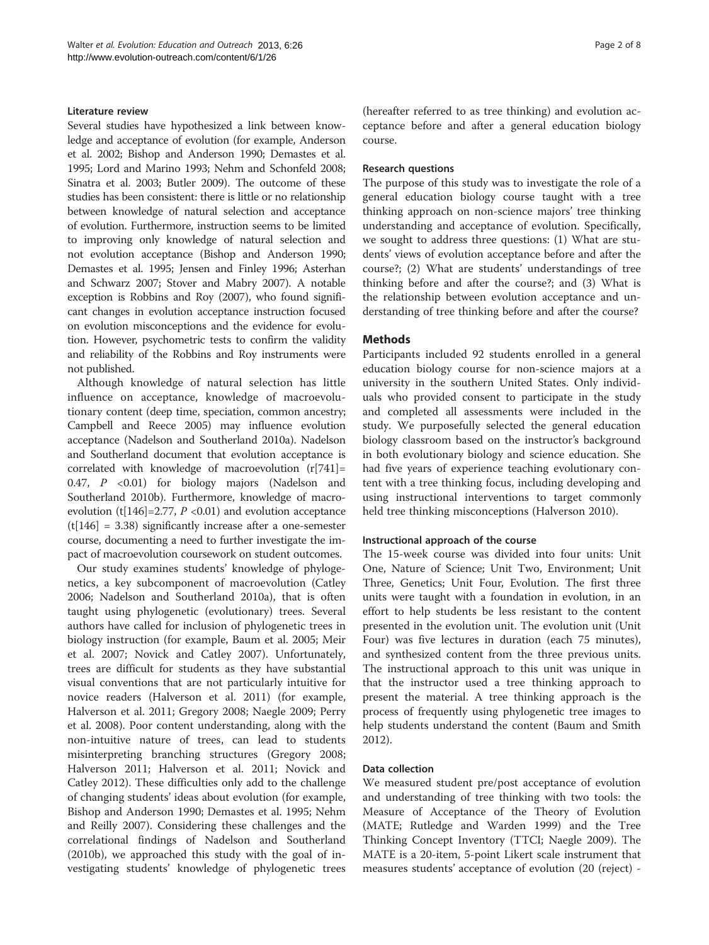#### Literature review

Several studies have hypothesized a link between knowledge and acceptance of evolution (for example, Anderson et al. [2002;](#page-6-0) Bishop and Anderson [1990;](#page-6-0) Demastes et al. [1995;](#page-6-0) Lord and Marino [1993](#page-6-0); Nehm and Schonfeld [2008](#page-6-0); Sinatra et al. [2003](#page-7-0); Butler [2009](#page-6-0)). The outcome of these studies has been consistent: there is little or no relationship between knowledge of natural selection and acceptance of evolution. Furthermore, instruction seems to be limited to improving only knowledge of natural selection and not evolution acceptance (Bishop and Anderson [1990](#page-6-0); Demastes et al. [1995;](#page-6-0) Jensen and Finley [1996;](#page-6-0) Asterhan and Schwarz [2007](#page-6-0); Stover and Mabry [2007\)](#page-7-0). A notable exception is Robbins and Roy ([2007\)](#page-7-0), who found significant changes in evolution acceptance instruction focused on evolution misconceptions and the evidence for evolution. However, psychometric tests to confirm the validity and reliability of the Robbins and Roy instruments were not published.

Although knowledge of natural selection has little influence on acceptance, knowledge of macroevolutionary content (deep time, speciation, common ancestry; Campbell and Reece [2005\)](#page-6-0) may influence evolution acceptance (Nadelson and Southerland [2010a\)](#page-6-0). Nadelson and Southerland document that evolution acceptance is correlated with knowledge of macroevolution (r[741]= 0.47, P <0.01) for biology majors (Nadelson and Southerland [2010b](#page-6-0)). Furthermore, knowledge of macroevolution (t[146]=2.77,  $P$  <0.01) and evolution acceptance  $(t[146] = 3.38)$  significantly increase after a one-semester course, documenting a need to further investigate the impact of macroevolution coursework on student outcomes.

Our study examines students' knowledge of phylogenetics, a key subcomponent of macroevolution (Catley [2006](#page-6-0); Nadelson and Southerland [2010a](#page-6-0)), that is often taught using phylogenetic (evolutionary) trees. Several authors have called for inclusion of phylogenetic trees in biology instruction (for example, Baum et al. [2005](#page-6-0); Meir et al. [2007;](#page-6-0) Novick and Catley [2007](#page-7-0)). Unfortunately, trees are difficult for students as they have substantial visual conventions that are not particularly intuitive for novice readers (Halverson et al. [2011](#page-6-0)) (for example, Halverson et al. [2011;](#page-6-0) Gregory [2008;](#page-6-0) Naegle [2009](#page-6-0); Perry et al. [2008\)](#page-7-0). Poor content understanding, along with the non-intuitive nature of trees, can lead to students misinterpreting branching structures (Gregory [2008](#page-6-0); Halverson [2011](#page-6-0); Halverson et al. [2011](#page-6-0); Novick and Catley [2012\)](#page-7-0). These difficulties only add to the challenge of changing students' ideas about evolution (for example, Bishop and Anderson [1990;](#page-6-0) Demastes et al. [1995;](#page-6-0) Nehm and Reilly [2007\)](#page-6-0). Considering these challenges and the correlational findings of Nadelson and Southerland ([2010b\)](#page-6-0), we approached this study with the goal of investigating students' knowledge of phylogenetic trees

(hereafter referred to as tree thinking) and evolution acceptance before and after a general education biology course.

#### Research questions

The purpose of this study was to investigate the role of a general education biology course taught with a tree thinking approach on non-science majors' tree thinking understanding and acceptance of evolution. Specifically, we sought to address three questions: (1) What are students' views of evolution acceptance before and after the course?; (2) What are students' understandings of tree thinking before and after the course?; and (3) What is the relationship between evolution acceptance and understanding of tree thinking before and after the course?

#### **Methods**

Participants included 92 students enrolled in a general education biology course for non-science majors at a university in the southern United States. Only individuals who provided consent to participate in the study and completed all assessments were included in the study. We purposefully selected the general education biology classroom based on the instructor's background in both evolutionary biology and science education. She had five years of experience teaching evolutionary content with a tree thinking focus, including developing and using instructional interventions to target commonly held tree thinking misconceptions (Halverson [2010](#page-6-0)).

#### Instructional approach of the course

The 15-week course was divided into four units: Unit One, Nature of Science; Unit Two, Environment; Unit Three, Genetics; Unit Four, Evolution. The first three units were taught with a foundation in evolution, in an effort to help students be less resistant to the content presented in the evolution unit. The evolution unit (Unit Four) was five lectures in duration (each 75 minutes), and synthesized content from the three previous units. The instructional approach to this unit was unique in that the instructor used a tree thinking approach to present the material. A tree thinking approach is the process of frequently using phylogenetic tree images to help students understand the content (Baum and Smith [2012](#page-6-0)).

#### Data collection

We measured student pre/post acceptance of evolution and understanding of tree thinking with two tools: the Measure of Acceptance of the Theory of Evolution (MATE; Rutledge and Warden [1999\)](#page-7-0) and the Tree Thinking Concept Inventory (TTCI; Naegle [2009\)](#page-6-0). The MATE is a 20-item, 5-point Likert scale instrument that measures students' acceptance of evolution (20 (reject) -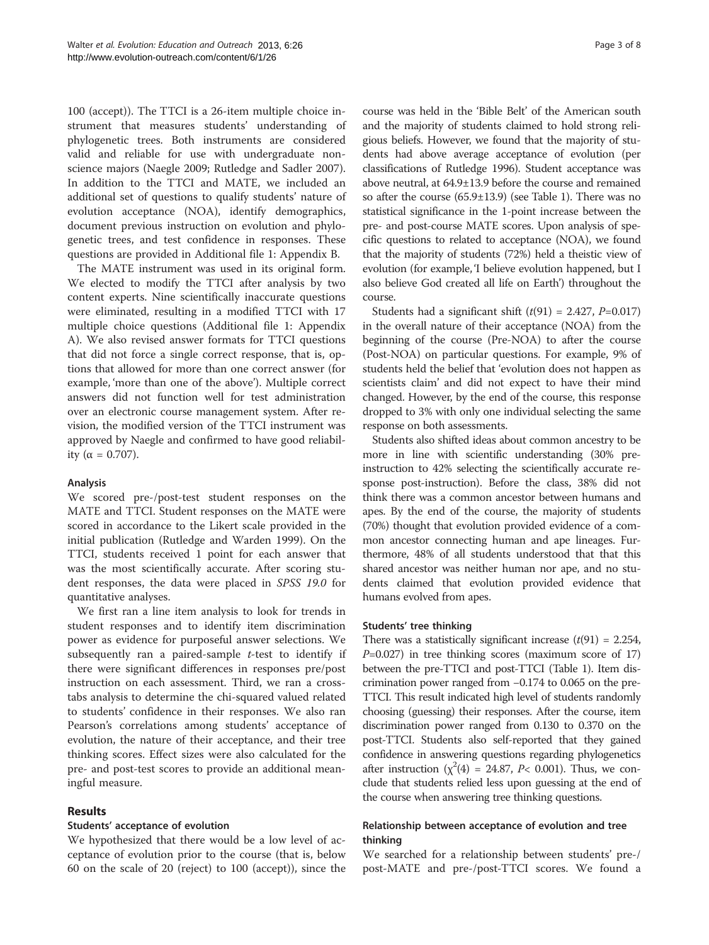100 (accept)). The TTCI is a 26-item multiple choice instrument that measures students' understanding of phylogenetic trees. Both instruments are considered valid and reliable for use with undergraduate nonscience majors (Naegle [2009](#page-6-0); Rutledge and Sadler [2007](#page-7-0)). In addition to the TTCI and MATE, we included an additional set of questions to qualify students' nature of evolution acceptance (NOA), identify demographics, document previous instruction on evolution and phylogenetic trees, and test confidence in responses. These questions are provided in Additional file [1:](#page-5-0) Appendix B.

The MATE instrument was used in its original form. We elected to modify the TTCI after analysis by two content experts. Nine scientifically inaccurate questions were eliminated, resulting in a modified TTCI with 17 multiple choice questions (Additional file [1:](#page-5-0) Appendix A). We also revised answer formats for TTCI questions that did not force a single correct response, that is, options that allowed for more than one correct answer (for example, 'more than one of the above'). Multiple correct answers did not function well for test administration over an electronic course management system. After revision, the modified version of the TTCI instrument was approved by Naegle and confirmed to have good reliability (α = 0.707).

# Analysis

We scored pre-/post-test student responses on the MATE and TTCI. Student responses on the MATE were scored in accordance to the Likert scale provided in the initial publication (Rutledge and Warden [1999\)](#page-7-0). On the TTCI, students received 1 point for each answer that was the most scientifically accurate. After scoring student responses, the data were placed in SPSS 19.0 for quantitative analyses.

We first ran a line item analysis to look for trends in student responses and to identify item discrimination power as evidence for purposeful answer selections. We subsequently ran a paired-sample  $t$ -test to identify if there were significant differences in responses pre/post instruction on each assessment. Third, we ran a crosstabs analysis to determine the chi-squared valued related to students' confidence in their responses. We also ran Pearson's correlations among students' acceptance of evolution, the nature of their acceptance, and their tree thinking scores. Effect sizes were also calculated for the pre- and post-test scores to provide an additional meaningful measure.

# Results

# Students' acceptance of evolution

We hypothesized that there would be a low level of acceptance of evolution prior to the course (that is, below 60 on the scale of 20 (reject) to 100 (accept)), since the

course was held in the 'Bible Belt' of the American south and the majority of students claimed to hold strong religious beliefs. However, we found that the majority of students had above average acceptance of evolution (per classifications of Rutledge [1996](#page-7-0)). Student acceptance was above neutral, at 64.9±13.9 before the course and remained so after the course (65.9±13.9) (see Table [1\)](#page-3-0). There was no statistical significance in the 1-point increase between the pre- and post-course MATE scores. Upon analysis of specific questions to related to acceptance (NOA), we found that the majority of students (72%) held a theistic view of evolution (for example, 'I believe evolution happened, but I also believe God created all life on Earth') throughout the course.

Students had a significant shift  $(t(91) = 2.427, P=0.017)$ in the overall nature of their acceptance (NOA) from the beginning of the course (Pre-NOA) to after the course (Post-NOA) on particular questions. For example, 9% of students held the belief that 'evolution does not happen as scientists claim' and did not expect to have their mind changed. However, by the end of the course, this response dropped to 3% with only one individual selecting the same response on both assessments.

Students also shifted ideas about common ancestry to be more in line with scientific understanding (30% preinstruction to 42% selecting the scientifically accurate response post-instruction). Before the class, 38% did not think there was a common ancestor between humans and apes. By the end of the course, the majority of students (70%) thought that evolution provided evidence of a common ancestor connecting human and ape lineages. Furthermore, 48% of all students understood that that this shared ancestor was neither human nor ape, and no students claimed that evolution provided evidence that humans evolved from apes.

#### Students' tree thinking

There was a statistically significant increase  $(t(91) = 2.254$ ,  $P=0.027$ ) in tree thinking scores (maximum score of 17) between the pre-TTCI and post-TTCI (Table [1\)](#page-3-0). Item discrimination power ranged from −0.174 to 0.065 on the pre-TTCI. This result indicated high level of students randomly choosing (guessing) their responses. After the course, item discrimination power ranged from 0.130 to 0.370 on the post-TTCI. Students also self-reported that they gained confidence in answering questions regarding phylogenetics after instruction ( $\chi^2(4)$  = 24.87, P< 0.001). Thus, we conclude that students relied less upon guessing at the end of the course when answering tree thinking questions.

# Relationship between acceptance of evolution and tree thinking

We searched for a relationship between students' pre-/ post-MATE and pre-/post-TTCI scores. We found a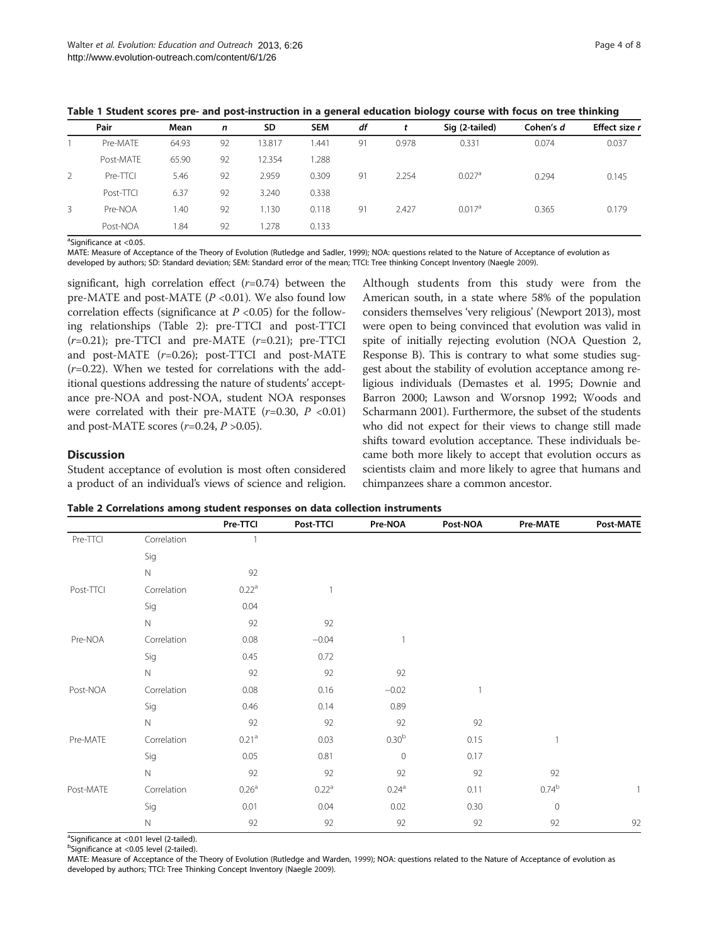<span id="page-3-0"></span>

|  |  | Table 1 Student scores pre- and post-instruction in a general education biology course with focus on tree thinking |  |  |  |
|--|--|--------------------------------------------------------------------------------------------------------------------|--|--|--|
|--|--|--------------------------------------------------------------------------------------------------------------------|--|--|--|

|   | Pair      | Mean  | n  | <b>SD</b> | <b>SEM</b> | df |       | Sig (2-tailed)       | Cohen's d | Effect size r |
|---|-----------|-------|----|-----------|------------|----|-------|----------------------|-----------|---------------|
|   | Pre-MATF  | 64.93 | 92 | 13.817    | .441       | 91 | 0.978 | 0.331                | 0.074     | 0.037         |
|   | Post-MATE | 65.90 | 92 | 12.354    | 1.288      |    |       |                      |           |               |
| 2 | Pre-TTCI  | 5.46  | 92 | 2.959     | 0.309      | 91 | 2.254 | $0.027$ <sup>a</sup> | 0.294     | 0.145         |
|   | Post-TTCI | 6.37  | 92 | 3.240     | 0.338      |    |       |                      |           |               |
| 3 | Pre-NOA   | .40   | 92 | . 130     | 0.118      | 91 | 2.427 | $0.017$ <sup>a</sup> | 0.365     | 0.179         |
|   | Post-NOA  | .84   | 92 | .278      | 0.133      |    |       |                      |           |               |

<sup>a</sup>Significance at <0.05.

MATE: Measure of Acceptance of the Theory of Evolution (Rutledge and Sadler, 1999); NOA: questions related to the Nature of Acceptance of evolution as developed by authors; SD: Standard deviation; SEM: Standard error of the mean; TTCI: Tree thinking Concept Inventory (Naegle [2009\)](#page-6-0).

significant, high correlation effect  $(r=0.74)$  between the pre-MATE and post-MATE  $(P \le 0.01)$ . We also found low correlation effects (significance at  $P \le 0.05$ ) for the following relationships (Table 2): pre-TTCI and post-TTCI  $(r=0.21)$ ; pre-TTCI and pre-MATE  $(r=0.21)$ ; pre-TTCI and post-MATE (r=0.26); post-TTCI and post-MATE  $(r=0.22)$ . When we tested for correlations with the additional questions addressing the nature of students' acceptance pre-NOA and post-NOA, student NOA responses were correlated with their pre-MATE  $(r=0.30, P < 0.01)$ and post-MATE scores  $(r=0.24, P>0.05)$ .

# Discussion

Student acceptance of evolution is most often considered a product of an individual's views of science and religion.

Although students from this study were from the American south, in a state where 58% of the population considers themselves 'very religious' (Newport [2013\)](#page-6-0), most were open to being convinced that evolution was valid in spite of initially rejecting evolution (NOA Question 2, Response B). This is contrary to what some studies suggest about the stability of evolution acceptance among religious individuals (Demastes et al. [1995](#page-6-0); Downie and Barron [2000;](#page-6-0) Lawson and Worsnop [1992](#page-6-0); Woods and Scharmann [2001](#page-7-0)). Furthermore, the subset of the students who did not expect for their views to change still made shifts toward evolution acceptance. These individuals became both more likely to accept that evolution occurs as scientists claim and more likely to agree that humans and chimpanzees share a common ancestor.

Table 2 Correlations among student responses on data collection instruments

|           |             | Pre-TTCI          | Post-TTCI         | Pre-NOA           | Post-NOA     | Pre-MATE    | Post-MATE |
|-----------|-------------|-------------------|-------------------|-------------------|--------------|-------------|-----------|
| Pre-TTCI  | Correlation | $\mathbf{1}$      |                   |                   |              |             |           |
|           | Sig         |                   |                   |                   |              |             |           |
|           | $\mathbb N$ | 92                |                   |                   |              |             |           |
| Post-TTCI | Correlation | $0.22^{\text{a}}$ | 1                 |                   |              |             |           |
|           | Sig         | 0.04              |                   |                   |              |             |           |
|           | $\hbox{N}$  | 92                | 92                |                   |              |             |           |
| Pre-NOA   | Correlation | 0.08              | $-0.04$           | $\mathbf{1}$      |              |             |           |
|           | Sig         | 0.45              | 0.72              |                   |              |             |           |
|           | $\hbox{N}$  | 92                | 92                | 92                |              |             |           |
| Post-NOA  | Correlation | 0.08              | 0.16              | $-0.02$           | $\mathbf{1}$ |             |           |
|           | Sig         | 0.46              | 0.14              | 0.89              |              |             |           |
|           | $\mathbb N$ | 92                | 92                | 92                | 92           |             |           |
| Pre-MATE  | Correlation | 0.21 <sup>a</sup> | 0.03              | 0.30 <sup>b</sup> | 0.15         |             |           |
|           | Sig         | 0.05              | 0.81              | $\mathbf{O}$      | 0.17         |             |           |
|           | $\hbox{N}$  | 92                | 92                | 92                | 92           | 92          |           |
| Post-MATE | Correlation | 0.26 <sup>a</sup> | $0.22^{\text{a}}$ | $0.24^{\rm a}$    | 0.11         | $0.74^{b}$  | 1         |
|           | Sig         | 0.01              | 0.04              | 0.02              | 0.30         | $\mathbf 0$ |           |
|           | $\mathbb N$ | 92                | 92                | 92                | 92           | 92          | 92        |

<sup>a</sup>Significance at <0.01 level (2-tailed).

<sup>b</sup>Significance at <0.05 level (2-tailed).

MATE: Measure of Acceptance of the Theory of Evolution (Rutledge and Warden, [1999\)](#page-7-0); NOA: questions related to the Nature of Acceptance of evolution as developed by authors; TTCI: Tree Thinking Concept Inventory (Naegle [2009\)](#page-6-0).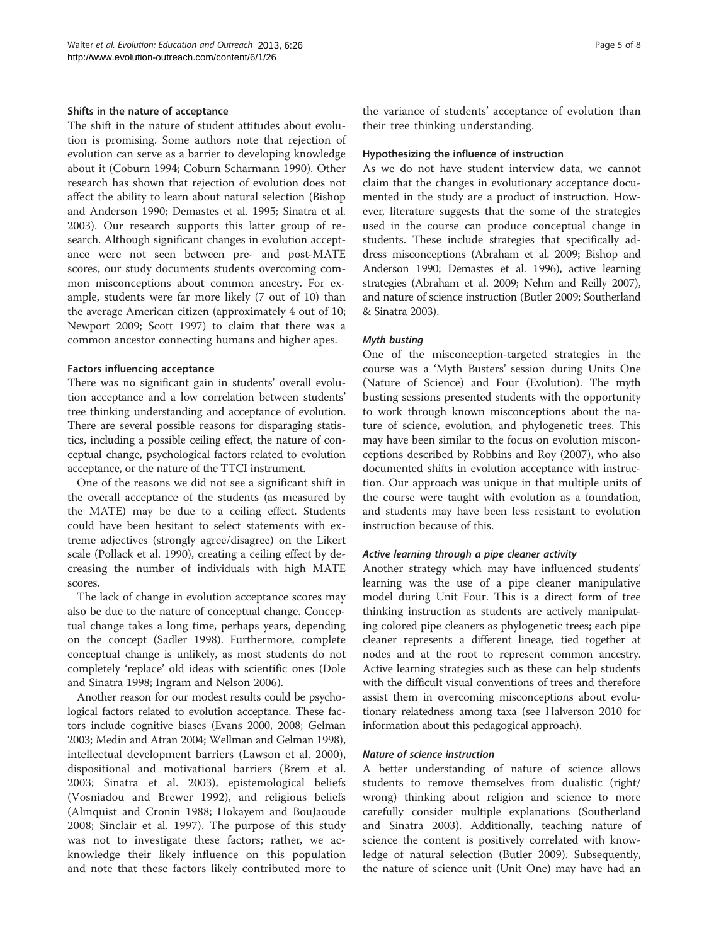#### Shifts in the nature of acceptance

The shift in the nature of student attitudes about evolution is promising. Some authors note that rejection of evolution can serve as a barrier to developing knowledge about it (Coburn [1994](#page-6-0); Coburn Scharmann [1990\)](#page-7-0). Other research has shown that rejection of evolution does not affect the ability to learn about natural selection (Bishop and Anderson [1990;](#page-6-0) Demastes et al. [1995;](#page-6-0) Sinatra et al. [2003](#page-7-0)). Our research supports this latter group of research. Although significant changes in evolution acceptance were not seen between pre- and post-MATE scores, our study documents students overcoming common misconceptions about common ancestry. For example, students were far more likely (7 out of 10) than the average American citizen (approximately 4 out of 10; Newport [2009](#page-6-0); Scott [1997](#page-7-0)) to claim that there was a common ancestor connecting humans and higher apes.

#### Factors influencing acceptance

There was no significant gain in students' overall evolution acceptance and a low correlation between students' tree thinking understanding and acceptance of evolution. There are several possible reasons for disparaging statistics, including a possible ceiling effect, the nature of conceptual change, psychological factors related to evolution acceptance, or the nature of the TTCI instrument.

One of the reasons we did not see a significant shift in the overall acceptance of the students (as measured by the MATE) may be due to a ceiling effect. Students could have been hesitant to select statements with extreme adjectives (strongly agree/disagree) on the Likert scale (Pollack et al. [1990\)](#page-7-0), creating a ceiling effect by decreasing the number of individuals with high MATE scores.

The lack of change in evolution acceptance scores may also be due to the nature of conceptual change. Conceptual change takes a long time, perhaps years, depending on the concept (Sadler [1998\)](#page-7-0). Furthermore, complete conceptual change is unlikely, as most students do not completely 'replace' old ideas with scientific ones (Dole and Sinatra [1998;](#page-6-0) Ingram and Nelson [2006\)](#page-6-0).

Another reason for our modest results could be psychological factors related to evolution acceptance. These factors include cognitive biases (Evans [2000, 2008;](#page-6-0) Gelman [2003;](#page-6-0) Medin and Atran [2004](#page-6-0); Wellman and Gelman [1998](#page-7-0)), intellectual development barriers (Lawson et al. [2000](#page-6-0)), dispositional and motivational barriers (Brem et al. [2003;](#page-6-0) Sinatra et al. [2003](#page-7-0)), epistemological beliefs (Vosniadou and Brewer [1992\)](#page-7-0), and religious beliefs (Almquist and Cronin [1988](#page-6-0); Hokayem and BouJaoude [2008;](#page-6-0) Sinclair et al. [1997](#page-7-0)). The purpose of this study was not to investigate these factors; rather, we acknowledge their likely influence on this population and note that these factors likely contributed more to

the variance of students' acceptance of evolution than their tree thinking understanding.

#### Hypothesizing the influence of instruction

As we do not have student interview data, we cannot claim that the changes in evolutionary acceptance documented in the study are a product of instruction. However, literature suggests that the some of the strategies used in the course can produce conceptual change in students. These include strategies that specifically address misconceptions (Abraham et al. [2009](#page-6-0); Bishop and Anderson [1990;](#page-6-0) Demastes et al. [1996](#page-6-0)), active learning strategies (Abraham et al. [2009;](#page-6-0) Nehm and Reilly [2007](#page-6-0)), and nature of science instruction (Butler [2009;](#page-6-0) Southerland & Sinatra [2003\)](#page-7-0).

#### Myth busting

One of the misconception-targeted strategies in the course was a 'Myth Busters' session during Units One (Nature of Science) and Four (Evolution). The myth busting sessions presented students with the opportunity to work through known misconceptions about the nature of science, evolution, and phylogenetic trees. This may have been similar to the focus on evolution misconceptions described by Robbins and Roy ([2007](#page-7-0)), who also documented shifts in evolution acceptance with instruction. Our approach was unique in that multiple units of the course were taught with evolution as a foundation, and students may have been less resistant to evolution instruction because of this.

#### Active learning through a pipe cleaner activity

Another strategy which may have influenced students' learning was the use of a pipe cleaner manipulative model during Unit Four. This is a direct form of tree thinking instruction as students are actively manipulating colored pipe cleaners as phylogenetic trees; each pipe cleaner represents a different lineage, tied together at nodes and at the root to represent common ancestry. Active learning strategies such as these can help students with the difficult visual conventions of trees and therefore assist them in overcoming misconceptions about evolutionary relatedness among taxa (see Halverson [2010](#page-6-0) for information about this pedagogical approach).

#### Nature of science instruction

A better understanding of nature of science allows students to remove themselves from dualistic (right/ wrong) thinking about religion and science to more carefully consider multiple explanations (Southerland and Sinatra [2003\)](#page-7-0). Additionally, teaching nature of science the content is positively correlated with knowledge of natural selection (Butler [2009\)](#page-6-0). Subsequently, the nature of science unit (Unit One) may have had an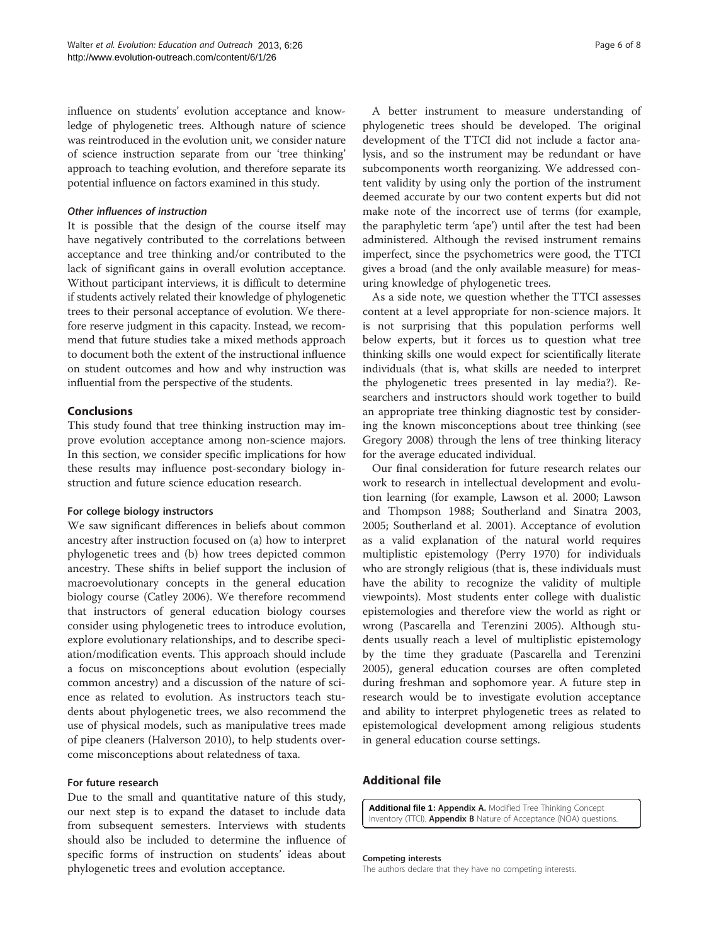<span id="page-5-0"></span>influence on students' evolution acceptance and knowledge of phylogenetic trees. Although nature of science was reintroduced in the evolution unit, we consider nature of science instruction separate from our 'tree thinking' approach to teaching evolution, and therefore separate its potential influence on factors examined in this study.

### Other influences of instruction

It is possible that the design of the course itself may have negatively contributed to the correlations between acceptance and tree thinking and/or contributed to the lack of significant gains in overall evolution acceptance. Without participant interviews, it is difficult to determine if students actively related their knowledge of phylogenetic trees to their personal acceptance of evolution. We therefore reserve judgment in this capacity. Instead, we recommend that future studies take a mixed methods approach to document both the extent of the instructional influence on student outcomes and how and why instruction was influential from the perspective of the students.

# Conclusions

This study found that tree thinking instruction may improve evolution acceptance among non-science majors. In this section, we consider specific implications for how these results may influence post-secondary biology instruction and future science education research.

# For college biology instructors

We saw significant differences in beliefs about common ancestry after instruction focused on (a) how to interpret phylogenetic trees and (b) how trees depicted common ancestry. These shifts in belief support the inclusion of macroevolutionary concepts in the general education biology course (Catley [2006](#page-6-0)). We therefore recommend that instructors of general education biology courses consider using phylogenetic trees to introduce evolution, explore evolutionary relationships, and to describe speciation/modification events. This approach should include a focus on misconceptions about evolution (especially common ancestry) and a discussion of the nature of science as related to evolution. As instructors teach students about phylogenetic trees, we also recommend the use of physical models, such as manipulative trees made of pipe cleaners (Halverson [2010\)](#page-6-0), to help students overcome misconceptions about relatedness of taxa.

#### For future research

Due to the small and quantitative nature of this study, our next step is to expand the dataset to include data from subsequent semesters. Interviews with students should also be included to determine the influence of specific forms of instruction on students' ideas about phylogenetic trees and evolution acceptance.

A better instrument to measure understanding of phylogenetic trees should be developed. The original development of the TTCI did not include a factor analysis, and so the instrument may be redundant or have subcomponents worth reorganizing. We addressed content validity by using only the portion of the instrument deemed accurate by our two content experts but did not make note of the incorrect use of terms (for example, the paraphyletic term 'ape') until after the test had been administered. Although the revised instrument remains imperfect, since the psychometrics were good, the TTCI gives a broad (and the only available measure) for measuring knowledge of phylogenetic trees.

As a side note, we question whether the TTCI assesses content at a level appropriate for non-science majors. It is not surprising that this population performs well below experts, but it forces us to question what tree thinking skills one would expect for scientifically literate individuals (that is, what skills are needed to interpret the phylogenetic trees presented in lay media?). Researchers and instructors should work together to build an appropriate tree thinking diagnostic test by considering the known misconceptions about tree thinking (see Gregory [2008](#page-6-0)) through the lens of tree thinking literacy for the average educated individual.

Our final consideration for future research relates our work to research in intellectual development and evolution learning (for example, Lawson et al. [2000](#page-6-0); Lawson and Thompson [1988](#page-6-0); Southerland and Sinatra [2003](#page-7-0), [2005](#page-7-0); Southerland et al. [2001](#page-7-0)). Acceptance of evolution as a valid explanation of the natural world requires multiplistic epistemology (Perry [1970](#page-7-0)) for individuals who are strongly religious (that is, these individuals must have the ability to recognize the validity of multiple viewpoints). Most students enter college with dualistic epistemologies and therefore view the world as right or wrong (Pascarella and Terenzini [2005\)](#page-7-0). Although students usually reach a level of multiplistic epistemology by the time they graduate (Pascarella and Terenzini [2005](#page-7-0)), general education courses are often completed during freshman and sophomore year. A future step in research would be to investigate evolution acceptance and ability to interpret phylogenetic trees as related to epistemological development among religious students in general education course settings.

# Additional file

[Additional file 1](ADDITIONAL_FILE_1): Appendix A. Modified Tree Thinking Concept Inventory (TTCI). **Appendix B** Nature of Acceptance (NOA) questions.

#### Competing interests

The authors declare that they have no competing interests.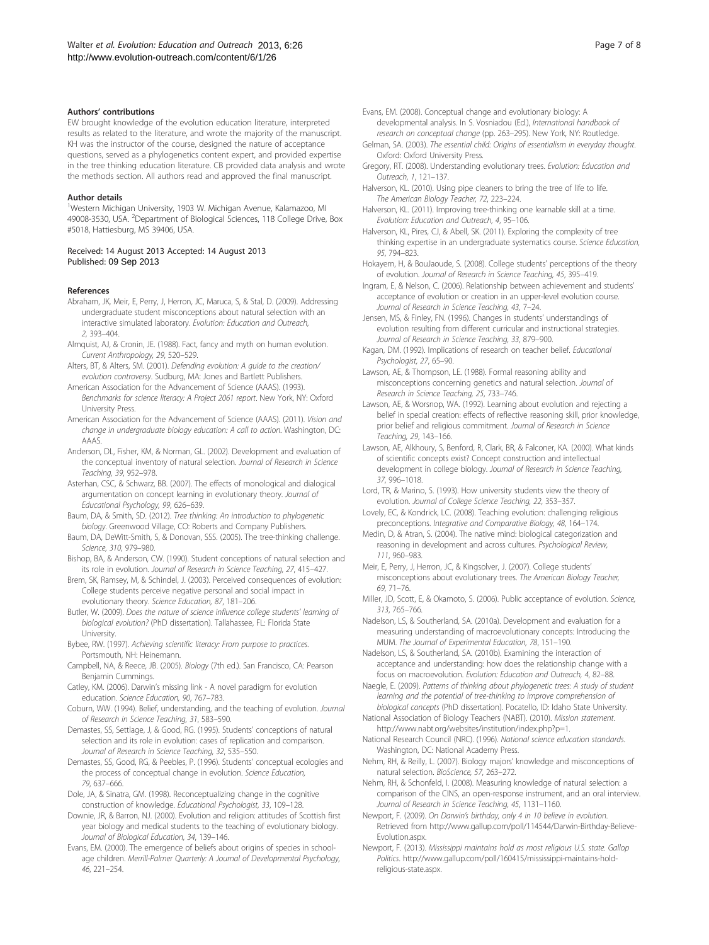#### <span id="page-6-0"></span>Authors' contributions

EW brought knowledge of the evolution education literature, interpreted results as related to the literature, and wrote the majority of the manuscript. KH was the instructor of the course, designed the nature of acceptance questions, served as a phylogenetics content expert, and provided expertise in the tree thinking education literature. CB provided data analysis and wrote the methods section. All authors read and approved the final manuscript.

#### Author details

<sup>1</sup>Western Michigan University, 1903 W. Michigan Avenue, Kalamazoo, MI 49008-3530, USA. <sup>2</sup>Department of Biological Sciences, 118 College Drive, Box #5018, Hattiesburg, MS 39406, USA.

#### Received: 14 August 2013 Accepted: 14 August 2013 Published: 09 Sep 2013

#### References

- Abraham, JK, Meir, E, Perry, J, Herron, JC, Maruca, S, & Stal, D. (2009). Addressing undergraduate student misconceptions about natural selection with an interactive simulated laboratory. Evolution: Education and Outreach, 2, 393–404.
- Almquist, AJ, & Cronin, JE. (1988). Fact, fancy and myth on human evolution. Current Anthropology, 29, 520–529.
- Alters, BT, & Alters, SM. (2001). Defending evolution: A guide to the creation/ evolution controversy. Sudburg, MA: Jones and Bartlett Publishers.
- American Association for the Advancement of Science (AAAS). (1993). Benchmarks for science literacy: A Project 2061 report. New York, NY: Oxford University Press.
- American Association for the Advancement of Science (AAAS). (2011). Vision and change in undergraduate biology education: A call to action. Washington, DC: AAAS.
- Anderson, DL, Fisher, KM, & Norman, GL. (2002). Development and evaluation of the conceptual inventory of natural selection. Journal of Research in Science Teaching, 39, 952–978.
- Asterhan, CSC, & Schwarz, BB. (2007). The effects of monological and dialogical argumentation on concept learning in evolutionary theory. Journal of Educational Psychology, 99, 626–639.
- Baum, DA, & Smith, SD. (2012). Tree thinking: An introduction to phylogenetic biology. Greenwood Village, CO: Roberts and Company Publishers.
- Baum, DA, DeWitt-Smith, S, & Donovan, SSS. (2005). The tree-thinking challenge. Science, 310, 979–980.
- Bishop, BA, & Anderson, CW. (1990). Student conceptions of natural selection and its role in evolution. Journal of Research in Science Teaching, 27, 415–427.
- Brem, SK, Ramsey, M, & Schindel, J. (2003). Perceived consequences of evolution: College students perceive negative personal and social impact in evolutionary theory. Science Education, 87, 181–206.
- Butler, W. (2009). Does the nature of science influence college students' learning of biological evolution? (PhD dissertation). Tallahassee, FL: Florida State University.
- Bybee, RW. (1997). Achieving scientific literacy: From purpose to practices. Portsmouth, NH: Heinemann.
- Campbell, NA, & Reece, JB. (2005). Biology (7th ed.). San Francisco, CA: Pearson Benjamin Cummings.
- Catley, KM. (2006). Darwin's missing link A novel paradigm for evolution education. Science Education, 90, 767–783.
- Coburn, WW. (1994). Belief, understanding, and the teaching of evolution. Journal of Research in Science Teaching, 31, 583–590.
- Demastes, SS, Settlage, J, & Good, RG. (1995). Students' conceptions of natural selection and its role in evolution: cases of replication and comparison. Journal of Research in Science Teaching, 32, 535–550.
- Demastes, SS, Good, RG, & Peebles, P. (1996). Students' conceptual ecologies and the process of conceptual change in evolution. Science Education, 79, 637–666.
- Dole, JA, & Sinatra, GM. (1998). Reconceptualizing change in the cognitive construction of knowledge. Educational Psychologist, 33, 109–128.
- Downie, JR, & Barron, NJ. (2000). Evolution and religion: attitudes of Scottish first year biology and medical students to the teaching of evolutionary biology. Journal of Biological Education, 34, 139–146.
- Evans, EM. (2000). The emergence of beliefs about origins of species in schoolage children. Merrill-Palmer Quarterly: A Journal of Developmental Psychology, 46, 221–254.
- Evans, EM. (2008). Conceptual change and evolutionary biology: A developmental analysis. In S. Vosniadou (Ed.), International handbook of research on conceptual change (pp. 263–295). New York, NY: Routledge.
- Gelman, SA. (2003). The essential child: Origins of essentialism in everyday thought. Oxford: Oxford University Press.
- Gregory, RT. (2008). Understanding evolutionary trees. Evolution: Education and Outreach, 1, 121–137.
- Halverson, KL. (2010). Using pipe cleaners to bring the tree of life to life. The American Biology Teacher, 72, 223–224.
- Halverson, KL. (2011). Improving tree-thinking one learnable skill at a time. Evolution: Education and Outreach, 4, 95–106.
- Halverson, KL, Pires, CJ, & Abell, SK. (2011). Exploring the complexity of tree thinking expertise in an undergraduate systematics course. Science Education, 95, 794–823.
- Hokayem, H, & BouJaoude, S. (2008). College students' perceptions of the theory of evolution. Journal of Research in Science Teaching, 45, 395–419.
- Ingram, E, & Nelson, C. (2006). Relationship between achievement and students' acceptance of evolution or creation in an upper-level evolution course. Journal of Research in Science Teaching, 43, 7–24.
- Jensen, MS, & Finley, FN. (1996). Changes in students' understandings of evolution resulting from different curricular and instructional strategies. Journal of Research in Science Teaching, 33, 879–900.
- Kagan, DM. (1992). Implications of research on teacher belief. Educational Psychologist, 27, 65–90.
- Lawson, AE, & Thompson, LE. (1988). Formal reasoning ability and misconceptions concerning genetics and natural selection. Journal of Research in Science Teaching, 25, 733–746.
- Lawson, AE, & Worsnop, WA. (1992). Learning about evolution and rejecting a belief in special creation: effects of reflective reasoning skill, prior knowledge, prior belief and religious commitment. Journal of Research in Science Teaching, 29, 143–166.
- Lawson, AE, Alkhoury, S, Benford, R, Clark, BR, & Falconer, KA. (2000). What kinds of scientific concepts exist? Concept construction and intellectual development in college biology. Journal of Research in Science Teaching, 37, 996–1018.
- Lord, TR, & Marino, S. (1993). How university students view the theory of evolution. Journal of College Science Teaching, 22, 353–357.
- Lovely, EC, & Kondrick, LC. (2008). Teaching evolution: challenging religious preconceptions. Integrative and Comparative Biology, 48, 164–174.
- Medin, D, & Atran, S. (2004). The native mind: biological categorization and reasoning in development and across cultures. Psychological Review, 111, 960–983.
- Meir, E, Perry, J, Herron, JC, & Kingsolver, J. (2007). College students' misconceptions about evolutionary trees. The American Biology Teacher, 69, 71–76.
- Miller, JD, Scott, E, & Okamoto, S. (2006). Public acceptance of evolution. Science, 313, 765–766.
- Nadelson, LS, & Southerland, SA. (2010a). Development and evaluation for a measuring understanding of macroevolutionary concepts: Introducing the MUM. The Journal of Experimental Education, 78, 151–190.
- Nadelson, LS, & Southerland, SA. (2010b). Examining the interaction of acceptance and understanding: how does the relationship change with a focus on macroevolution. Evolution: Education and Outreach, 4, 82–88.
- Naegle, E. (2009). Patterns of thinking about phylogenetic trees: A study of student learning and the potential of tree-thinking to improve comprehension of biological concepts (PhD dissertation). Pocatello, ID: Idaho State University.
- National Association of Biology Teachers (NABT). (2010). Mission statement. <http://www.nabt.org/websites/institution/index.php?p=1>.
- National Research Council (NRC). (1996). National science education standards. Washington, DC: National Academy Press.
- Nehm, RH, & Reilly, L. (2007). Biology majors' knowledge and misconceptions of natural selection. BioScience, 57, 263–272.
- Nehm, RH, & Schonfeld, I. (2008). Measuring knowledge of natural selection: a comparison of the CINS, an open-response instrument, and an oral interview. Journal of Research in Science Teaching, 45, 1131–1160.
- Newport, F. (2009). On Darwin's birthday, only 4 in 10 believe in evolution. Retrieved from [http://www.gallup.com/poll/114544/Darwin-Birthday-Believe-](http://www.gallup.com/poll/114544/Darwin-Birthday-Believe-Evolution.aspx)[Evolution.aspx](http://www.gallup.com/poll/114544/Darwin-Birthday-Believe-Evolution.aspx).
- Newport, F. (2013). Mississippi maintains hold as most religious U.S. state. Gallop Politics. [http://www.gallup.com/poll/160415/mississippi-maintains-hold](http://www.gallup.com/poll/160415/mississippi-maintains-hold-religious-state.aspx)[religious-state.aspx](http://www.gallup.com/poll/160415/mississippi-maintains-hold-religious-state.aspx).